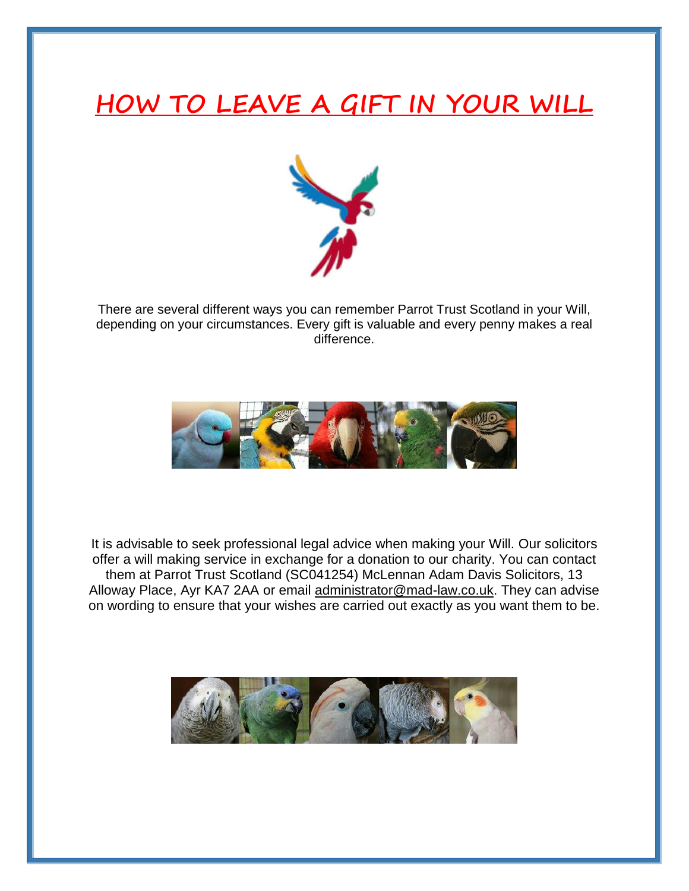# **HOW TO LEAVE A GIFT IN YOUR WILL**



There are several different ways you can remember Parrot Trust Scotland in your Will, depending on your circumstances. Every gift is valuable and every penny makes a real difference.



It is advisable to seek professional legal advice when making your Will. Our solicitors offer a will making service in exchange for a donation to our charity. You can contact them at Parrot Trust Scotland (SC041254) McLennan Adam Davis Solicitors, 13 Alloway Place, Ayr KA7 2AA or email [administrator@mad-law.co.uk.](mailto:administrator@mad-law.co.uk) They can advise on wording to ensure that your wishes are carried out exactly as you want them to be.

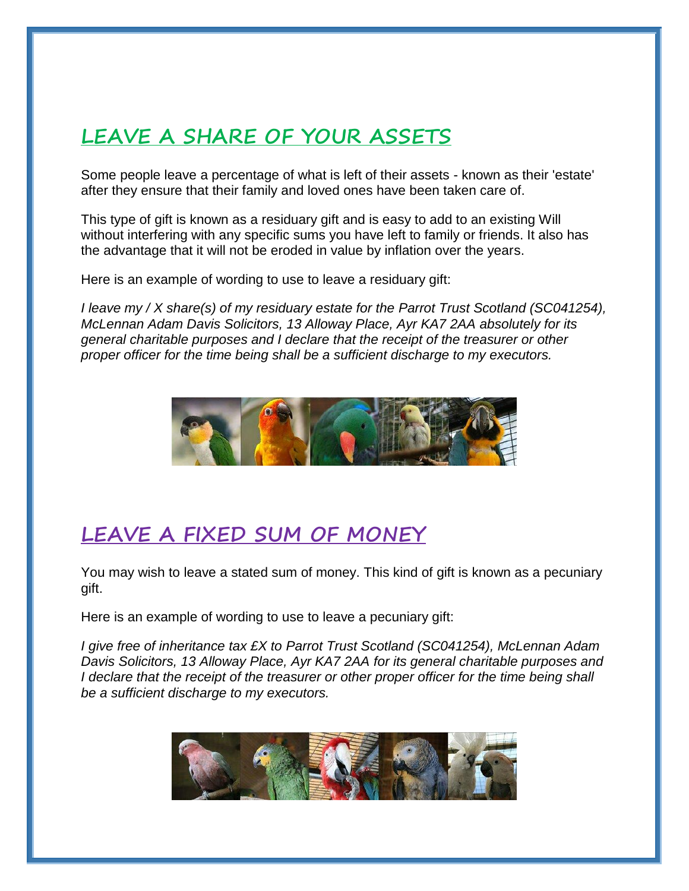## **LEAVE A SHARE OF YOUR ASSETS**

Some people leave a percentage of what is left of their assets - known as their 'estate' after they ensure that their family and loved ones have been taken care of.

This type of gift is known as a residuary gift and is easy to add to an existing Will without interfering with any specific sums you have left to family or friends. It also has the advantage that it will not be eroded in value by inflation over the years.

Here is an example of wording to use to leave a residuary gift:

*I leave my / X share(s) of my residuary estate for the Parrot Trust Scotland (SC041254), McLennan Adam Davis Solicitors, 13 Alloway Place, Ayr KA7 2AA absolutely for its general charitable purposes and I declare that the receipt of the treasurer or other proper officer for the time being shall be a sufficient discharge to my executors.*



#### **LEAVE A FIXED SUM OF MONEY**

You may wish to leave a stated sum of money. This kind of gift is known as a pecuniary gift.

Here is an example of wording to use to leave a pecuniary gift:

*I give free of inheritance tax £X to Parrot Trust Scotland (SC041254), McLennan Adam Davis Solicitors, 13 Alloway Place, Ayr KA7 2AA for its general charitable purposes and I* declare that the receipt of the treasurer or other proper officer for the time being shall *be a sufficient discharge to my executors.*